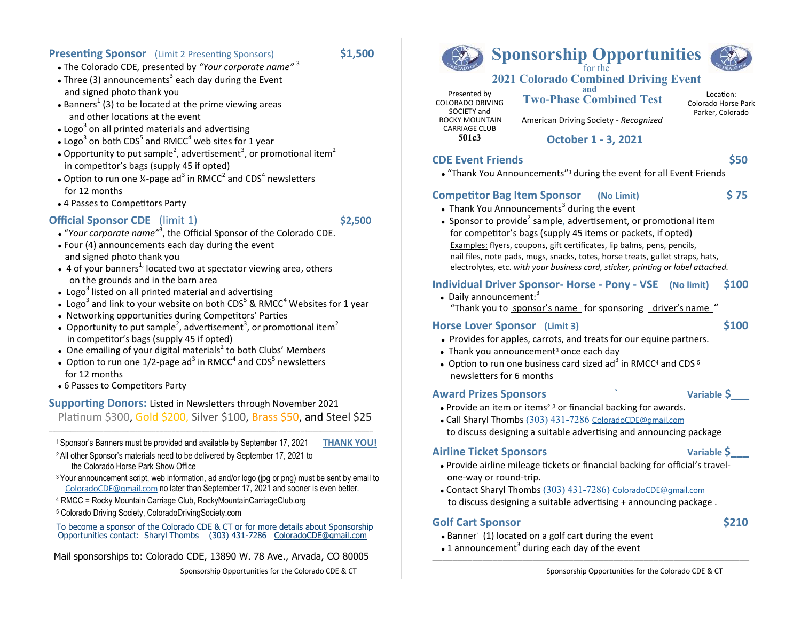## **Presenting Sponsor** (Limit 2 Presenting Sponsors) **\$1,500**

- ⚫ The Colorado CDE*,* presented by *"Your corporate name"* <sup>3</sup>
- Three (3) announcements<sup>3</sup> each day during the Event and signed photo thank you
- Banners<sup>1</sup> (3) to be located at the prime viewing areas and other locations at the event
- Logo<sup>3</sup> on all printed materials and advertising
- $\bullet$  Logo<sup>3</sup> on both CDS<sup>5</sup> and RMCC<sup>4</sup> web sites for 1 year
- Opportunity to put sample<sup>2</sup>, advertisement<sup>3</sup>, or promotional item<sup>2</sup> in competitor's bags (supply 45 if opted)
- Option to run one ¼-page ad<sup>3</sup> in RMCC<sup>2</sup> and CDS<sup>4</sup> newsletters for 12 months
- ⚫ 4 Passes to Competitors Party

# **Official Sponsor CDE** (limit 1) **\$2,500**

- ⚫ "*Your corporate name"* 3 , the Official Sponsor of the Colorado CDE.
- ⚫ Four (4) announcements each day during the event and signed photo thank you
- $\bullet$  4 of your banners<sup>1</sup> located two at spectator viewing area, others on the grounds and in the barn area
- Logo<sup>3</sup> listed on all printed material and advertising
- Logo<sup>3</sup> and link to your website on both CDS<sup>5</sup> & RMCC<sup>4</sup> Websites for 1 year
- ⚫ Networking opportunities during Competitors' Parties
- Opportunity to put sample<sup>2</sup>, advertisement<sup>3</sup>, or promotional item<sup>2</sup> in competitor's bags (supply 45 if opted)
- One emailing of your digital materials<sup>2</sup> to both Clubs' Members
- Option to run one 1/2-page ad<sup>3</sup> in RMCC<sup>4</sup> and CDS<sup>5</sup> newsletters for 12 months
- ⚫ 6 Passes to Competitors Party

## **Supporting Donors:** Listed in Newsletters through November 2021 Platinum \$300, Gold \$200, Silver \$100, Brass \$50, and Steel \$25

\_\_\_\_\_\_\_\_\_\_\_\_\_\_\_\_\_\_\_\_\_\_\_\_\_\_\_\_\_\_\_\_\_\_\_\_\_\_\_\_\_\_\_\_\_\_\_\_\_\_\_\_\_\_\_\_\_\_\_\_\_\_\_\_\_\_\_\_\_\_\_\_\_\_\_\_\_\_\_\_\_\_\_\_\_\_\_\_\_\_\_\_\_\_\_\_\_\_\_\_\_\_\_\_\_\_\_\_\_\_\_\_\_\_\_\_\_\_\_\_\_\_\_\_\_\_\_\_\_\_\_\_\_\_\_\_\_\_\_\_\_\_\_\_\_\_\_\_\_\_\_\_\_\_\_\_\_\_\_\_\_ <sup>1</sup>Sponsor's Banners must be provided and available by September 17, 2021 **THANK YOU!**

<sup>2</sup>All other Sponsor's materials need to be delivered by September 17, 2021 to the Colorado Horse Park Show Office

- <sup>3</sup> Your announcement script, web information, ad and/or logo (jpg or png) must be sent by email to [ColoradoCDE@gmail.com](mailto:ColoradoCDE@gmail.com) no later than September 17, 2021 and sooner is even better.
- 4 RMCC = Rocky Mountain Carriage Club, RockyMountainCarriageClub.org
- <sup>5</sup> Colorado Driving Society, ColoradoDrivingSociety.com

 To become a sponsor of the Colorado CDE & CT or for more details about Sponsorship Opportunities contact: Sharyl Thombs (303) 431-7286 [ColoradoCDE@gmail.com](mailto:ColoradoCDE@gmail.com)

Mail sponsorships to: Colorado CDE, 13890 W. 78 Ave., Arvada, CO 80005



## **Sponsorship Opportunities**  for the

# **2021 Colorado Combined Driving Event**

Presented by COLORADO DRIVING SOCIETY and ROCKY MOUNTAIN CARRIAGE CLUB 501c3

**and Two-Phase Combined Test**

American Driving Society - *Recognized*

Location: Colorado Horse Park Parker, Colorado

 **October 1 - 3, 2021**

## **CDE Event Friends \$50**

⚫ "Thank You Announcements" <sup>3</sup> during the event for all Event Friends

## **Competitor Bag Item Sponsor (No Limit) \$ 75**

- Thank You Announcements<sup>3</sup> during the event
- Sponsor to provide<sup>2</sup> sample, advertisement, or promotional item for competitor's bags (supply 45 items or packets, if opted) Examples: flyers, coupons, gift certificates, lip balms, pens, pencils, nail files, note pads, mugs, snacks, totes, horse treats, gullet straps, hats, electrolytes, etc. *with your business card, sticker, printing or label attached.*

## **Individual Driver Sponsor- Horse - Pony - VSE (No limit) \$100**

 $\bullet$  Daily announcement: $3$ "Thank you to sponsor's name for sponsoring driver's name "

## **Horse Lover Sponsor (Limit 3) \$100**

- 
- ⚫ Provides for apples, carrots, and treats for our equine partners.
- $\bullet$  Thank you announcement<sup>3</sup> once each day
- Option to run one business card sized ad<sup>3</sup> in RMCC<sup>4</sup> and CDS  $5$ newsletters for 6 months

## **Award Prizes Sponsors ` Variable \$\_\_\_**

- Provide an item or items<sup>2,3</sup> or financial backing for awards.
- ⚫ Call Sharyl Thombs (303) 431-7286 [ColoradoCDE@gmail.com](mailto:ColoradoCDE@gmail.com) to discuss designing a suitable advertising and announcing package

## **Airline Ticket Sponsors Variable \$\_\_\_**

- ⚫ Provide airline mileage tickets or financial backing for official's travel one-way or round-trip.
- ⚫ Contact Sharyl Thombs (303) 431-7286) C[oloradoCDE@gmail.com](mailto:ColoradoCDE@gmail.com) to discuss designing a suitable advertising + announcing package .

## **Golf Cart Sponsor \$210**

- $\bullet$  Banner<sup>1</sup> (1) located on a golf cart during the event
- $\bullet$  1 announcement<sup>3</sup> during each day of the event \_\_\_\_\_\_\_\_\_\_\_\_\_\_\_\_\_\_\_\_\_\_\_\_\_\_\_\_\_\_\_\_\_\_\_\_\_\_\_\_\_\_\_\_\_\_\_\_\_\_\_\_\_\_\_\_\_\_\_\_\_\_\_